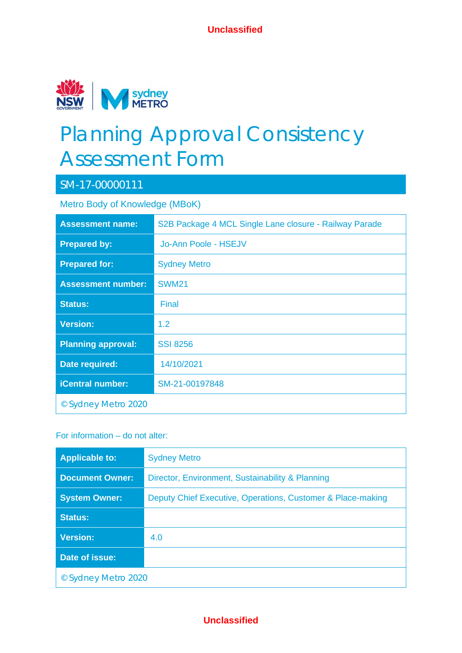

# Planning Approval Consistency Assessment Form

# SM-17-00000111

Metro Body of Knowledge (MBoK)

| <b>Assessment name:</b>   | S2B Package 4 MCL Single Lane closure - Railway Parade |
|---------------------------|--------------------------------------------------------|
| <b>Prepared by:</b>       | Jo-Ann Poole - HSEJV                                   |
| <b>Prepared for:</b>      | <b>Sydney Metro</b>                                    |
| <b>Assessment number:</b> | <b>SWM21</b>                                           |
| <b>Status:</b>            | <b>Final</b>                                           |
| <b>Version:</b>           | 1.2                                                    |
| <b>Planning approval:</b> | <b>SSI 8256</b>                                        |
| Date required:            | 14/10/2021                                             |
| <b>iCentral number:</b>   | SM-21-00197848                                         |
| © Sydney Metro 2020       |                                                        |

### For information – do not alter:

| <b>Applicable to:</b>  | <b>Sydney Metro</b>                                         |  |  |
|------------------------|-------------------------------------------------------------|--|--|
| <b>Document Owner:</b> | Director, Environment, Sustainability & Planning            |  |  |
| <b>System Owner:</b>   | Deputy Chief Executive, Operations, Customer & Place-making |  |  |
| <b>Status:</b>         |                                                             |  |  |
| <b>Version:</b>        | 4.0                                                         |  |  |
| Date of issue:         |                                                             |  |  |
| © Sydney Metro 2020    |                                                             |  |  |

# **Unclassified**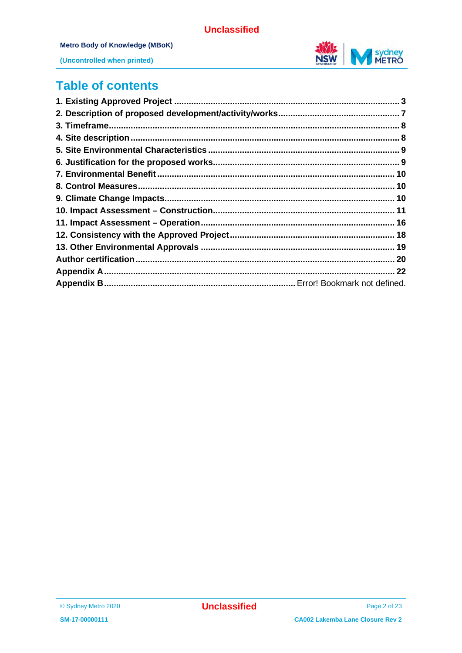

(Uncontrolled when printed)

# **Table of contents**

| 3 |
|---|
|   |
|   |
|   |
|   |
|   |
|   |
|   |
|   |
|   |
|   |
|   |
|   |
|   |
|   |
|   |

<sup>©</sup> Sydney Metro 2020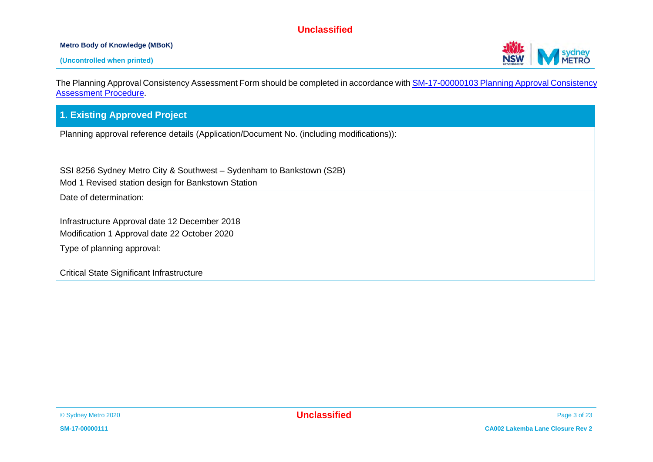#### **Metro Body of Knowledge (MBoK)**



The Planning Approval Consistency Assessment Form should be completed in accordance wit[h SM-17-00000103 Planning Approval Consistency](https://icentral.tdocs.transport.nsw.gov.au/otcs/cs.exe/app/nodes/3843028)  [Assessment Procedure.](https://icentral.tdocs.transport.nsw.gov.au/otcs/cs.exe/app/nodes/3843028)

#### **1. Existing Approved Project**

Planning approval reference details (Application/Document No. (including modifications)):

SSI 8256 Sydney Metro City & Southwest – Sydenham to Bankstown (S2B)

Mod 1 Revised station design for Bankstown Station

Date of determination:

Infrastructure Approval date 12 December 2018

Modification 1 Approval date 22 October 2020

Type of planning approval:

Critical State Significant Infrastructure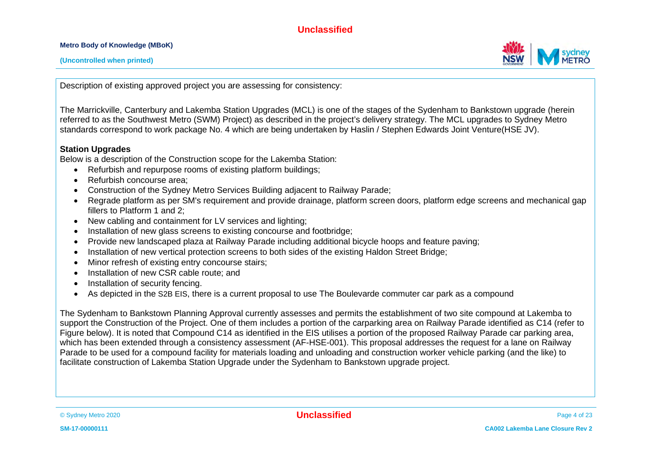**Metro Body of Knowledge (MBoK)**



Description of existing approved project you are assessing for consistency:

The Marrickville, Canterbury and Lakemba Station Upgrades (MCL) is one of the stages of the Sydenham to Bankstown upgrade (herein referred to as the Southwest Metro (SWM) Project) as described in the project's delivery strategy. The MCL upgrades to Sydney Metro standards correspond to work package No. 4 which are being undertaken by Haslin / Stephen Edwards Joint Venture(HSE JV).

#### **Station Upgrades**

Below is a description of the Construction scope for the Lakemba Station:

- Refurbish and repurpose rooms of existing platform buildings;
- Refurbish concourse area:
- Construction of the Sydney Metro Services Building adjacent to Railway Parade;
- Regrade platform as per SM's requirement and provide drainage, platform screen doors, platform edge screens and mechanical gap fillers to Platform 1 and 2;
- New cabling and containment for LV services and lighting;
- Installation of new glass screens to existing concourse and footbridge;
- Provide new landscaped plaza at Railway Parade including additional bicycle hoops and feature paving;
- Installation of new vertical protection screens to both sides of the existing Haldon Street Bridge:
- Minor refresh of existing entry concourse stairs;
- Installation of new CSR cable route; and
- Installation of security fencing.
- As depicted in the S2B EIS, there is a current proposal to use The Boulevarde commuter car park as a compound

The Sydenham to Bankstown Planning Approval currently assesses and permits the establishment of two site compound at Lakemba to support the Construction of the Project. One of them includes a portion of the carparking area on Railway Parade identified as C14 (refer to Figure below). It is noted that Compound C14 as identified in the EIS utilises a portion of the proposed Railway Parade car parking area, which has been extended through a consistency assessment (AF-HSE-001). This proposal addresses the request for a lane on Railway Parade to be used for a compound facility for materials loading and unloading and construction worker vehicle parking (and the like) to facilitate construction of Lakemba Station Upgrade under the Sydenham to Bankstown upgrade project.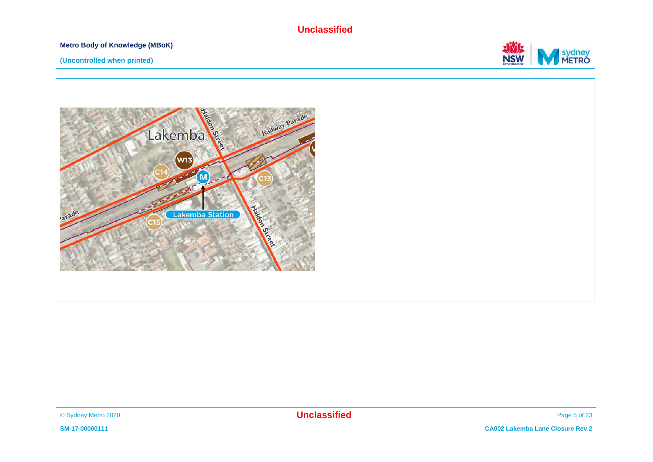#### **Metro Body of Knowledge (MBoK)**



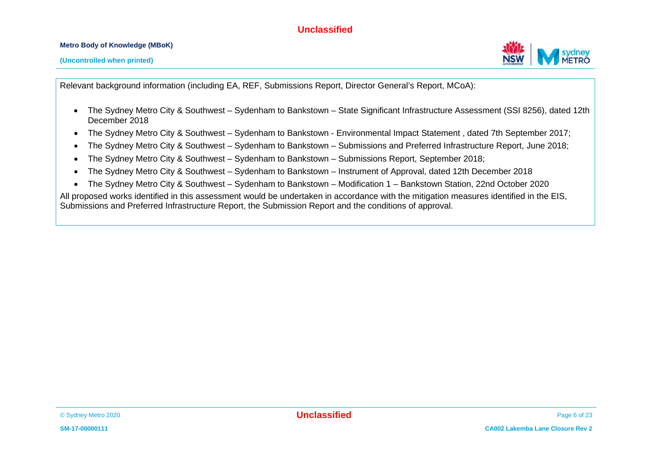#### **Metro Body of Knowledge (MBoK)**

**(Uncontrolled when printed)**

Relevant background information (including EA, REF, Submissions Report, Director General's Report, MCoA):

- The Sydney Metro City & Southwest Sydenham to Bankstown State Significant Infrastructure Assessment (SSI 8256), dated 12th December 2018
- The Sydney Metro City & Southwest Sydenham to Bankstown Environmental Impact Statement , dated 7th September 2017;
- The Sydney Metro City & Southwest Sydenham to Bankstown Submissions and Preferred Infrastructure Report, June 2018;
- The Sydney Metro City & Southwest Sydenham to Bankstown Submissions Report, September 2018;
- The Sydney Metro City & Southwest Sydenham to Bankstown Instrument of Approval, dated 12th December 2018
- The Sydney Metro City & Southwest Sydenham to Bankstown Modification 1 Bankstown Station, 22nd October 2020

All proposed works identified in this assessment would be undertaken in accordance with the mitigation measures identified in the EIS, Submissions and Preferred Infrastructure Report, the Submission Report and the conditions of approval.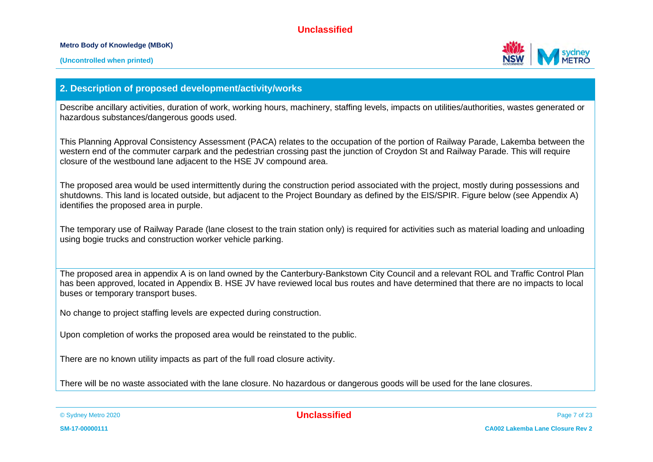**Metro Body of Knowledge (MBoK)**



### **2. Description of proposed development/activity/works**

Describe ancillary activities, duration of work, working hours, machinery, staffing levels, impacts on utilities/authorities, wastes generated or hazardous substances/dangerous goods used.

This Planning Approval Consistency Assessment (PACA) relates to the occupation of the portion of Railway Parade, Lakemba between the western end of the commuter carpark and the pedestrian crossing past the junction of Croydon St and Railway Parade. This will require closure of the westbound lane adjacent to the HSE JV compound area.

The proposed area would be used intermittently during the construction period associated with the project, mostly during possessions and shutdowns. This land is located outside, but adjacent to the Project Boundary as defined by the EIS/SPIR. Figure below (see Appendix A) identifies the proposed area in purple.

The temporary use of Railway Parade (lane closest to the train station only) is required for activities such as material loading and unloading using bogie trucks and construction worker vehicle parking.

The proposed area in appendix A is on land owned by the Canterbury-Bankstown City Council and a relevant ROL and Traffic Control Plan has been approved, located in Appendix B. HSE JV have reviewed local bus routes and have determined that there are no impacts to local buses or temporary transport buses.

No change to project staffing levels are expected during construction.

Upon completion of works the proposed area would be reinstated to the public.

There are no known utility impacts as part of the full road closure activity.

There will be no waste associated with the lane closure. No hazardous or dangerous goods will be used for the lane closures.

© Sydney Metro 2020 **Unclassified** Page 7 of 23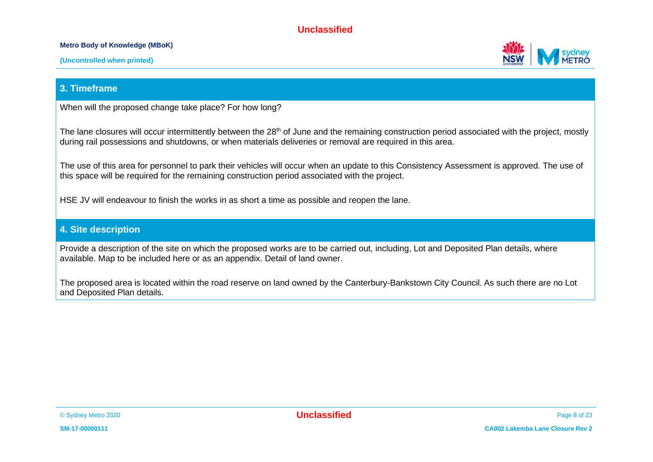#### **Metro Body of Knowledge (MBoK)**



**(Uncontrolled when printed)**

#### **3. Timeframe**

When will the proposed change take place? For how long?

The lane closures will occur intermittently between the 28<sup>th</sup> of June and the remaining construction period associated with the project, mostly during rail possessions and shutdowns, or when materials deliveries or removal are required in this area.

The use of this area for personnel to park their vehicles will occur when an update to this Consistency Assessment is approved. The use of this space will be required for the remaining construction period associated with the project.

HSE JV will endeavour to finish the works in as short a time as possible and reopen the lane.

#### **4. Site description**

Provide a description of the site on which the proposed works are to be carried out, including, Lot and Deposited Plan details, where available. Map to be included here or as an appendix. Detail of land owner.

The proposed area is located within the road reserve on land owned by the Canterbury-Bankstown City Council. As such there are no Lot and Deposited Plan details.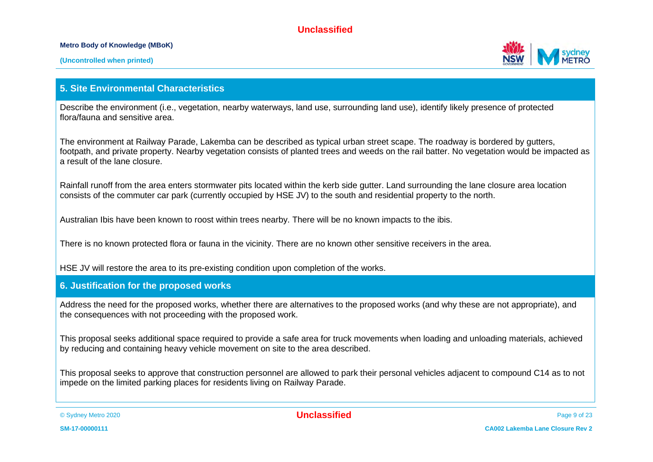#### **Metro Body of Knowledge (MBoK)**



#### **5. Site Environmental Characteristics**

Describe the environment (i.e., vegetation, nearby waterways, land use, surrounding land use), identify likely presence of protected flora/fauna and sensitive area.

The environment at Railway Parade, Lakemba can be described as typical urban street scape. The roadway is bordered by gutters, footpath, and private property. Nearby vegetation consists of planted trees and weeds on the rail batter. No vegetation would be impacted as a result of the lane closure.

Rainfall runoff from the area enters stormwater pits located within the kerb side gutter. Land surrounding the lane closure area location consists of the commuter car park (currently occupied by HSE JV) to the south and residential property to the north.

Australian Ibis have been known to roost within trees nearby. There will be no known impacts to the ibis.

There is no known protected flora or fauna in the vicinity. There are no known other sensitive receivers in the area.

HSE JV will restore the area to its pre-existing condition upon completion of the works.

#### **6. Justification for the proposed works**

Address the need for the proposed works, whether there are alternatives to the proposed works (and why these are not appropriate), and the consequences with not proceeding with the proposed work.

This proposal seeks additional space required to provide a safe area for truck movements when loading and unloading materials, achieved by reducing and containing heavy vehicle movement on site to the area described.

This proposal seeks to approve that construction personnel are allowed to park their personal vehicles adjacent to compound C14 as to not impede on the limited parking places for residents living on Railway Parade.

© Sydney Metro 2020 **Unclassified** Page 9 of 23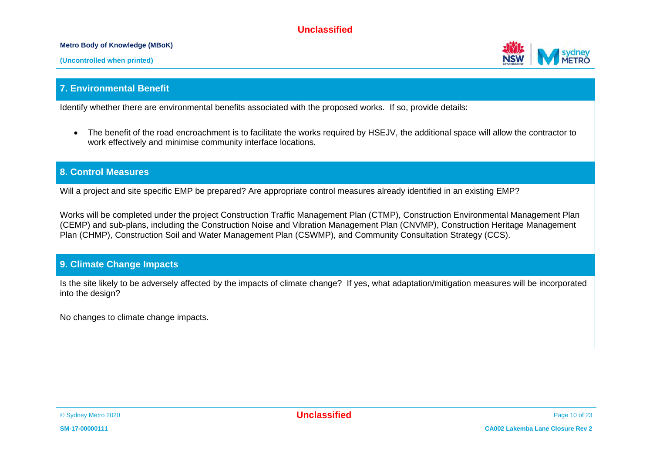**Metro Body of Knowledge (MBoK)**

**(Uncontrolled when printed)**

#### **7. Environmental Benefit**

Identify whether there are environmental benefits associated with the proposed works. If so, provide details:

• The benefit of the road encroachment is to facilitate the works required by HSEJV, the additional space will allow the contractor to work effectively and minimise community interface locations.

#### **8. Control Measures**

Will a project and site specific EMP be prepared? Are appropriate control measures already identified in an existing EMP?

Works will be completed under the project Construction Traffic Management Plan (CTMP), Construction Environmental Management Plan (CEMP) and sub-plans, including the Construction Noise and Vibration Management Plan (CNVMP), Construction Heritage Management Plan (CHMP), Construction Soil and Water Management Plan (CSWMP), and Community Consultation Strategy (CCS).

#### **9. Climate Change Impacts**

Is the site likely to be adversely affected by the impacts of climate change? If yes, what adaptation/mitigation measures will be incorporated into the design?

No changes to climate change impacts.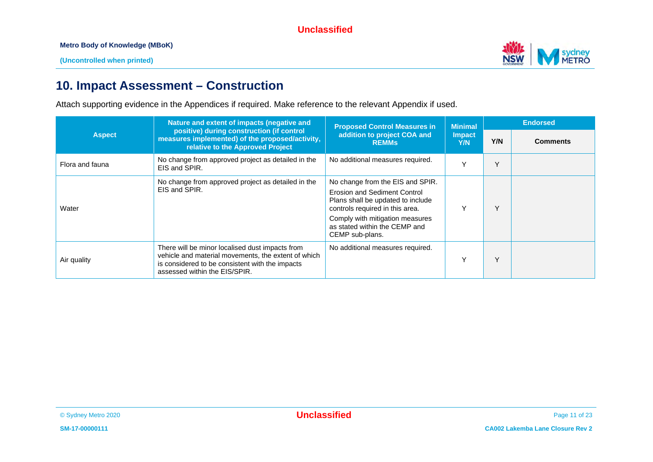

# **10. Impact Assessment – Construction**

Attach supporting evidence in the Appendices if required. Make reference to the relevant Appendix if used.

|                 | Nature and extent of impacts (negative and                                                                                                                                                 | <b>Proposed Control Measures in</b>                                                                                                                                                                                             | <b>Minimal</b>       | <b>Endorsed</b> |                 |
|-----------------|--------------------------------------------------------------------------------------------------------------------------------------------------------------------------------------------|---------------------------------------------------------------------------------------------------------------------------------------------------------------------------------------------------------------------------------|----------------------|-----------------|-----------------|
| <b>Aspect</b>   | positive) during construction (if control<br>measures implemented) of the proposed/activity,<br>relative to the Approved Project                                                           | addition to project COA and<br><b>REMMS</b>                                                                                                                                                                                     | <b>Impact</b><br>Y/N | Y/N             | <b>Comments</b> |
| Flora and fauna | No change from approved project as detailed in the<br>EIS and SPIR.                                                                                                                        | No additional measures required.                                                                                                                                                                                                | $\checkmark$         | $\checkmark$    |                 |
| Water           | No change from approved project as detailed in the<br>EIS and SPIR.                                                                                                                        | No change from the EIS and SPIR.<br>Erosion and Sediment Control<br>Plans shall be updated to include<br>controls required in this area.<br>Comply with mitigation measures<br>as stated within the CEMP and<br>CEMP sub-plans. | $\checkmark$         | $\checkmark$    |                 |
| Air quality     | There will be minor localised dust impacts from<br>vehicle and material movements, the extent of which<br>is considered to be consistent with the impacts<br>assessed within the EIS/SPIR. | No additional measures required.                                                                                                                                                                                                | $\checkmark$         | $\checkmark$    |                 |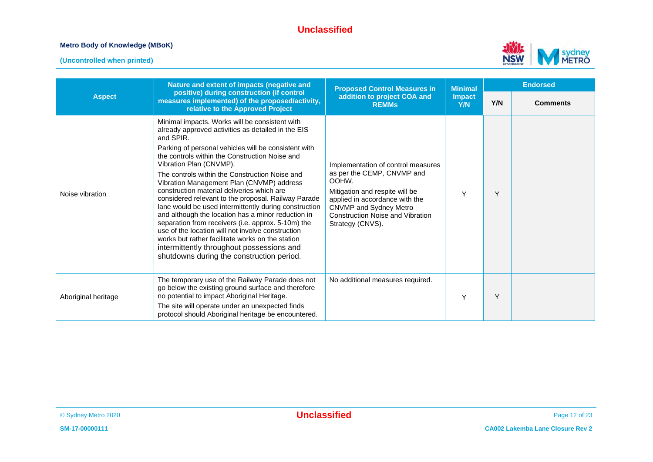#### **Metro Body of Knowledge (MBoK)**



|                     | Nature and extent of impacts (negative and                                                                                                                                                                                                                                                                                                                                                                                                                                                                                                                                                                                                                                                                                                                                            | <b>Proposed Control Measures in</b>                                                                                                                                                                                                    | <b>Minimal</b>       | <b>Endorsed</b> |                 |
|---------------------|---------------------------------------------------------------------------------------------------------------------------------------------------------------------------------------------------------------------------------------------------------------------------------------------------------------------------------------------------------------------------------------------------------------------------------------------------------------------------------------------------------------------------------------------------------------------------------------------------------------------------------------------------------------------------------------------------------------------------------------------------------------------------------------|----------------------------------------------------------------------------------------------------------------------------------------------------------------------------------------------------------------------------------------|----------------------|-----------------|-----------------|
| <b>Aspect</b>       | positive) during construction (if control<br>measures implemented) of the proposed/activity,<br>relative to the Approved Project                                                                                                                                                                                                                                                                                                                                                                                                                                                                                                                                                                                                                                                      | addition to project COA and<br><b>REMMs</b>                                                                                                                                                                                            | <b>Impact</b><br>Y/N | Y/N             | <b>Comments</b> |
| Noise vibration     | Minimal impacts. Works will be consistent with<br>already approved activities as detailed in the EIS<br>and SPIR.<br>Parking of personal vehicles will be consistent with<br>the controls within the Construction Noise and<br>Vibration Plan (CNVMP).<br>The controls within the Construction Noise and<br>Vibration Management Plan (CNVMP) address<br>construction material deliveries which are<br>considered relevant to the proposal. Railway Parade<br>lane would be used intermittently during construction<br>and although the location has a minor reduction in<br>separation from receivers (i.e. approx. 5-10m) the<br>use of the location will not involve construction<br>works but rather facilitate works on the station<br>intermittently throughout possessions and | Implementation of control measures<br>as per the CEMP, CNVMP and<br>OOHW.<br>Mitigation and respite will be<br>applied in accordance with the<br>CNVMP and Sydney Metro<br><b>Construction Noise and Vibration</b><br>Strategy (CNVS). | Y                    | Y               |                 |
|                     | shutdowns during the construction period.                                                                                                                                                                                                                                                                                                                                                                                                                                                                                                                                                                                                                                                                                                                                             |                                                                                                                                                                                                                                        |                      |                 |                 |
| Aboriginal heritage | The temporary use of the Railway Parade does not<br>go below the existing ground surface and therefore<br>no potential to impact Aboriginal Heritage.<br>The site will operate under an unexpected finds<br>protocol should Aboriginal heritage be encountered.                                                                                                                                                                                                                                                                                                                                                                                                                                                                                                                       | No additional measures required.                                                                                                                                                                                                       | Y                    | Y               |                 |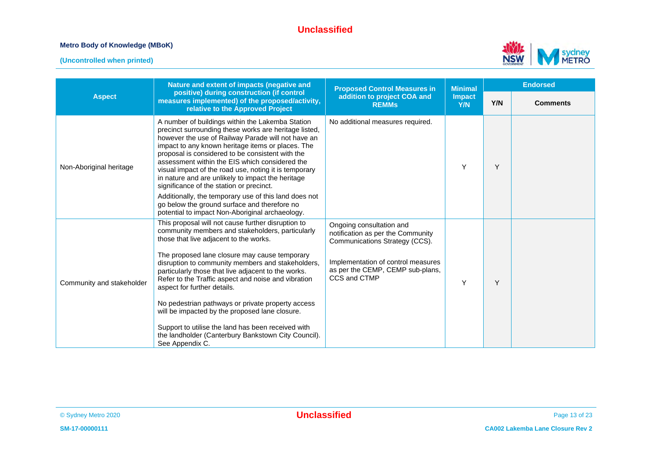#### **Metro Body of Knowledge (MBoK)**





|                           | Nature and extent of impacts (negative and                                                                                                                                                                                                                                                                                                                                                                                                                                           | <b>Proposed Control Measures in</b>                                                             | <b>Minimal</b>       | <b>Endorsed</b> |                 |
|---------------------------|--------------------------------------------------------------------------------------------------------------------------------------------------------------------------------------------------------------------------------------------------------------------------------------------------------------------------------------------------------------------------------------------------------------------------------------------------------------------------------------|-------------------------------------------------------------------------------------------------|----------------------|-----------------|-----------------|
| <b>Aspect</b>             | positive) during construction (if control<br>measures implemented) of the proposed/activity,<br>relative to the Approved Project                                                                                                                                                                                                                                                                                                                                                     | addition to project COA and<br><b>REMMs</b>                                                     | <b>Impact</b><br>Y/N | Y/N             | <b>Comments</b> |
| Non-Aboriginal heritage   | A number of buildings within the Lakemba Station<br>precinct surrounding these works are heritage listed,<br>however the use of Railway Parade will not have an<br>impact to any known heritage items or places. The<br>proposal is considered to be consistent with the<br>assessment within the EIS which considered the<br>visual impact of the road use, noting it is temporary<br>in nature and are unlikely to impact the heritage<br>significance of the station or precinct. | No additional measures required.                                                                | Y                    | Y               |                 |
|                           | Additionally, the temporary use of this land does not<br>go below the ground surface and therefore no<br>potential to impact Non-Aboriginal archaeology.                                                                                                                                                                                                                                                                                                                             |                                                                                                 |                      |                 |                 |
|                           | This proposal will not cause further disruption to<br>community members and stakeholders, particularly<br>those that live adjacent to the works.                                                                                                                                                                                                                                                                                                                                     | Ongoing consultation and<br>notification as per the Community<br>Communications Strategy (CCS). |                      |                 |                 |
| Community and stakeholder | The proposed lane closure may cause temporary<br>disruption to community members and stakeholders,<br>particularly those that live adjacent to the works.<br>Refer to the Traffic aspect and noise and vibration<br>aspect for further details.                                                                                                                                                                                                                                      | Implementation of control measures<br>as per the CEMP, CEMP sub-plans,<br>CCS and CTMP          | Y                    | Y               |                 |
|                           | No pedestrian pathways or private property access<br>will be impacted by the proposed lane closure.                                                                                                                                                                                                                                                                                                                                                                                  |                                                                                                 |                      |                 |                 |
|                           | Support to utilise the land has been received with<br>the landholder (Canterbury Bankstown City Council).<br>See Appendix C.                                                                                                                                                                                                                                                                                                                                                         |                                                                                                 |                      |                 |                 |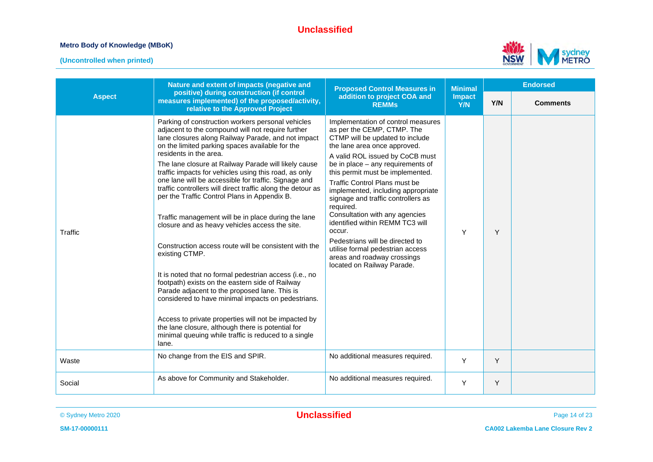#### **Metro Body of Knowledge (MBoK)**



|               | Nature and extent of impacts (negative and                                                                                                                                                                                                                                                                                                                                                                                                                                                                                                                                                                                                                                                                                                                                                                                                                                                                                                                                                                                                                                                                              | <b>Proposed Control Measures in</b>                                                                                                                                                                                                                                                                                                                                                                                                                                                                                                                                                                   | <b>Minimal</b>       | <b>Endorsed</b> |                 |  |
|---------------|-------------------------------------------------------------------------------------------------------------------------------------------------------------------------------------------------------------------------------------------------------------------------------------------------------------------------------------------------------------------------------------------------------------------------------------------------------------------------------------------------------------------------------------------------------------------------------------------------------------------------------------------------------------------------------------------------------------------------------------------------------------------------------------------------------------------------------------------------------------------------------------------------------------------------------------------------------------------------------------------------------------------------------------------------------------------------------------------------------------------------|-------------------------------------------------------------------------------------------------------------------------------------------------------------------------------------------------------------------------------------------------------------------------------------------------------------------------------------------------------------------------------------------------------------------------------------------------------------------------------------------------------------------------------------------------------------------------------------------------------|----------------------|-----------------|-----------------|--|
| <b>Aspect</b> | positive) during construction (if control<br>measures implemented) of the proposed/activity,<br>relative to the Approved Project                                                                                                                                                                                                                                                                                                                                                                                                                                                                                                                                                                                                                                                                                                                                                                                                                                                                                                                                                                                        | addition to project COA and<br><b>REMMs</b>                                                                                                                                                                                                                                                                                                                                                                                                                                                                                                                                                           | <b>Impact</b><br>Y/N | Y/N             | <b>Comments</b> |  |
| Traffic       | Parking of construction workers personal vehicles<br>adjacent to the compound will not require further<br>lane closures along Railway Parade, and not impact<br>on the limited parking spaces available for the<br>residents in the area.<br>The lane closure at Railway Parade will likely cause<br>traffic impacts for vehicles using this road, as only<br>one lane will be accessible for traffic. Signage and<br>traffic controllers will direct traffic along the detour as<br>per the Traffic Control Plans in Appendix B.<br>Traffic management will be in place during the lane<br>closure and as heavy vehicles access the site.<br>Construction access route will be consistent with the<br>existing CTMP.<br>It is noted that no formal pedestrian access (i.e., no<br>footpath) exists on the eastern side of Railway<br>Parade adjacent to the proposed lane. This is<br>considered to have minimal impacts on pedestrians.<br>Access to private properties will not be impacted by<br>the lane closure, although there is potential for<br>minimal queuing while traffic is reduced to a single<br>lane. | Implementation of control measures<br>as per the CEMP, CTMP. The<br>CTMP will be updated to include<br>the lane area once approved.<br>A valid ROL issued by CoCB must<br>be in place $-$ any requirements of<br>this permit must be implemented.<br><b>Traffic Control Plans must be</b><br>implemented, including appropriate<br>signage and traffic controllers as<br>required.<br>Consultation with any agencies<br>identified within REMM TC3 will<br>occur.<br>Pedestrians will be directed to<br>utilise formal pedestrian access<br>areas and roadway crossings<br>located on Railway Parade. | Y                    | Y               |                 |  |
| Waste         | No change from the EIS and SPIR.                                                                                                                                                                                                                                                                                                                                                                                                                                                                                                                                                                                                                                                                                                                                                                                                                                                                                                                                                                                                                                                                                        | No additional measures required.                                                                                                                                                                                                                                                                                                                                                                                                                                                                                                                                                                      | Y                    | Y               |                 |  |
| Social        | As above for Community and Stakeholder.                                                                                                                                                                                                                                                                                                                                                                                                                                                                                                                                                                                                                                                                                                                                                                                                                                                                                                                                                                                                                                                                                 | No additional measures required.                                                                                                                                                                                                                                                                                                                                                                                                                                                                                                                                                                      | Y                    | Y               |                 |  |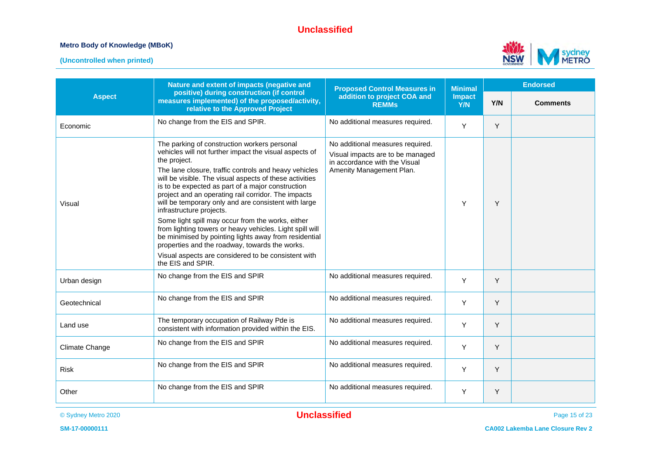#### **Metro Body of Knowledge (MBoK)**



|                | Nature and extent of impacts (negative and                                                                                                                                                                                                                                                                                                                                                                                                                                                                                                                                                                                                                                                                                                         | <b>Proposed Control Measures in</b>                                                                                               | <b>Minimal</b>       | <b>Endorsed</b> |                 |
|----------------|----------------------------------------------------------------------------------------------------------------------------------------------------------------------------------------------------------------------------------------------------------------------------------------------------------------------------------------------------------------------------------------------------------------------------------------------------------------------------------------------------------------------------------------------------------------------------------------------------------------------------------------------------------------------------------------------------------------------------------------------------|-----------------------------------------------------------------------------------------------------------------------------------|----------------------|-----------------|-----------------|
| <b>Aspect</b>  | positive) during construction (if control<br>measures implemented) of the proposed/activity,<br>relative to the Approved Project                                                                                                                                                                                                                                                                                                                                                                                                                                                                                                                                                                                                                   | addition to project COA and<br><b>REMMs</b>                                                                                       | <b>Impact</b><br>Y/N | Y/N             | <b>Comments</b> |
| Economic       | No change from the EIS and SPIR.                                                                                                                                                                                                                                                                                                                                                                                                                                                                                                                                                                                                                                                                                                                   | No additional measures required.                                                                                                  | Y                    | Y               |                 |
| Visual         | The parking of construction workers personal<br>vehicles will not further impact the visual aspects of<br>the project.<br>The lane closure, traffic controls and heavy vehicles<br>will be visible. The visual aspects of these activities<br>is to be expected as part of a major construction<br>project and an operating rail corridor. The impacts<br>will be temporary only and are consistent with large<br>infrastructure projects.<br>Some light spill may occur from the works, either<br>from lighting towers or heavy vehicles. Light spill will<br>be minimised by pointing lights away from residential<br>properties and the roadway, towards the works.<br>Visual aspects are considered to be consistent with<br>the EIS and SPIR. | No additional measures required.<br>Visual impacts are to be managed<br>in accordance with the Visual<br>Amenity Management Plan. | Y                    | Y               |                 |
| Urban design   | No change from the EIS and SPIR                                                                                                                                                                                                                                                                                                                                                                                                                                                                                                                                                                                                                                                                                                                    | No additional measures required.                                                                                                  | Y                    | Y               |                 |
| Geotechnical   | No change from the EIS and SPIR                                                                                                                                                                                                                                                                                                                                                                                                                                                                                                                                                                                                                                                                                                                    | No additional measures required.                                                                                                  | Y                    | Y               |                 |
| Land use       | The temporary occupation of Railway Pde is<br>consistent with information provided within the EIS.                                                                                                                                                                                                                                                                                                                                                                                                                                                                                                                                                                                                                                                 | No additional measures required.                                                                                                  | Y                    | Y               |                 |
| Climate Change | No change from the EIS and SPIR                                                                                                                                                                                                                                                                                                                                                                                                                                                                                                                                                                                                                                                                                                                    | No additional measures required.                                                                                                  | Y                    | Y               |                 |
| <b>Risk</b>    | No change from the EIS and SPIR                                                                                                                                                                                                                                                                                                                                                                                                                                                                                                                                                                                                                                                                                                                    | No additional measures required.                                                                                                  | Y                    | Y               |                 |
| Other          | No change from the EIS and SPIR                                                                                                                                                                                                                                                                                                                                                                                                                                                                                                                                                                                                                                                                                                                    | No additional measures required.                                                                                                  | Y                    | Y               |                 |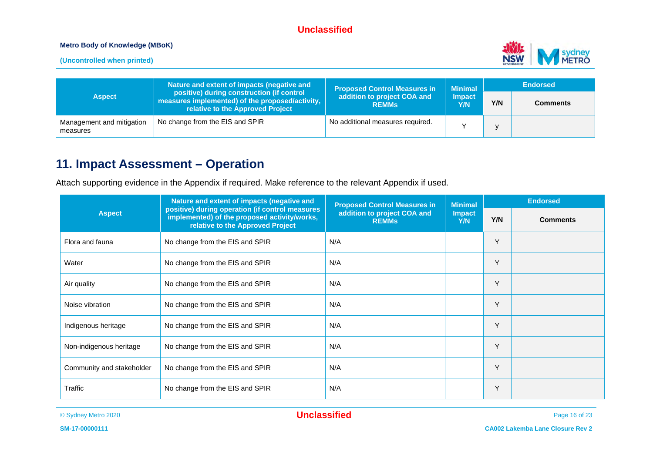#### **Metro Body of Knowledge (MBoK)**

**(Uncontrolled when printed)**



| Nature and extent of impacts (negative and<br>positive) during construction (if control<br><b>Aspect</b><br>measures implemented) of the proposed/activity,<br>relative to the Approved Project |                                 | <b>Proposed Control Measures in</b>         | <b>Minimal</b><br><b>Impact</b><br>Y/N | <b>Endorsed</b> |                 |
|-------------------------------------------------------------------------------------------------------------------------------------------------------------------------------------------------|---------------------------------|---------------------------------------------|----------------------------------------|-----------------|-----------------|
|                                                                                                                                                                                                 |                                 | addition to project COA and<br><b>REMMS</b> |                                        | Y/N             | <b>Comments</b> |
| Management and mitigation<br>measures                                                                                                                                                           | No change from the EIS and SPIR | No additional measures required.            |                                        |                 |                 |

# **11. Impact Assessment – Operation**

Attach supporting evidence in the Appendix if required. Make reference to the relevant Appendix if used.

| Nature and extent of impacts (negative and<br>positive) during operation (if control measures<br><b>Aspect</b><br>implemented) of the proposed activity/works,<br>relative to the Approved Project |                                 | <b>Proposed Control Measures in</b>         | <b>Minimal</b>       | <b>Endorsed</b> |                 |
|----------------------------------------------------------------------------------------------------------------------------------------------------------------------------------------------------|---------------------------------|---------------------------------------------|----------------------|-----------------|-----------------|
|                                                                                                                                                                                                    |                                 | addition to project COA and<br><b>REMMs</b> | <b>Impact</b><br>Y/N | Y/N             | <b>Comments</b> |
| Flora and fauna                                                                                                                                                                                    | No change from the EIS and SPIR | N/A                                         |                      | Y               |                 |
| Water                                                                                                                                                                                              | No change from the EIS and SPIR | N/A                                         |                      | Y               |                 |
| Air quality                                                                                                                                                                                        | No change from the EIS and SPIR | N/A                                         |                      | Y               |                 |
| Noise vibration                                                                                                                                                                                    | No change from the EIS and SPIR | N/A                                         |                      | Y               |                 |
| Indigenous heritage                                                                                                                                                                                | No change from the EIS and SPIR | N/A                                         |                      | Υ               |                 |
| Non-indigenous heritage                                                                                                                                                                            | No change from the EIS and SPIR | N/A                                         |                      | Y               |                 |
| Community and stakeholder                                                                                                                                                                          | No change from the EIS and SPIR | N/A                                         |                      | Y               |                 |
| Traffic                                                                                                                                                                                            | No change from the EIS and SPIR | N/A                                         |                      | Υ               |                 |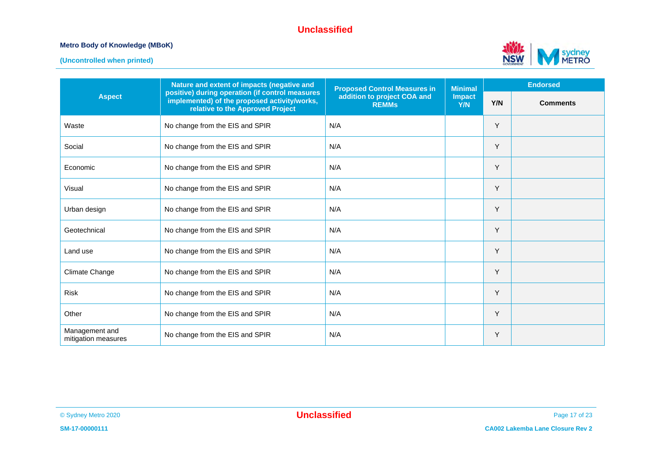#### **Metro Body of Knowledge (MBoK)**



|                                       | Nature and extent of impacts (negative and                                                                                          |                                                                                    | <b>Minimal</b>       | <b>Endorsed</b> |                 |
|---------------------------------------|-------------------------------------------------------------------------------------------------------------------------------------|------------------------------------------------------------------------------------|----------------------|-----------------|-----------------|
| <b>Aspect</b>                         | positive) during operation (if control measures<br>implemented) of the proposed activity/works,<br>relative to the Approved Project | <b>Proposed Control Measures in</b><br>addition to project COA and<br><b>REMMs</b> | <b>Impact</b><br>Y/N | Y/N             | <b>Comments</b> |
| Waste                                 | No change from the EIS and SPIR                                                                                                     | N/A                                                                                |                      | Υ               |                 |
| Social                                | No change from the EIS and SPIR                                                                                                     | N/A                                                                                |                      | Y               |                 |
| Economic                              | No change from the EIS and SPIR                                                                                                     | N/A                                                                                |                      | Υ               |                 |
| Visual                                | No change from the EIS and SPIR                                                                                                     | N/A                                                                                |                      | Y               |                 |
| Urban design                          | No change from the EIS and SPIR                                                                                                     | N/A                                                                                |                      | Y               |                 |
| Geotechnical                          | No change from the EIS and SPIR                                                                                                     | N/A                                                                                |                      | Y               |                 |
| Land use                              | No change from the EIS and SPIR                                                                                                     | N/A                                                                                |                      | Y               |                 |
| <b>Climate Change</b>                 | No change from the EIS and SPIR                                                                                                     | N/A                                                                                |                      | Y               |                 |
| <b>Risk</b>                           | No change from the EIS and SPIR                                                                                                     | N/A                                                                                |                      | Y               |                 |
| Other                                 | No change from the EIS and SPIR                                                                                                     | N/A                                                                                |                      | Υ               |                 |
| Management and<br>mitigation measures | No change from the EIS and SPIR                                                                                                     | N/A                                                                                |                      | Y               |                 |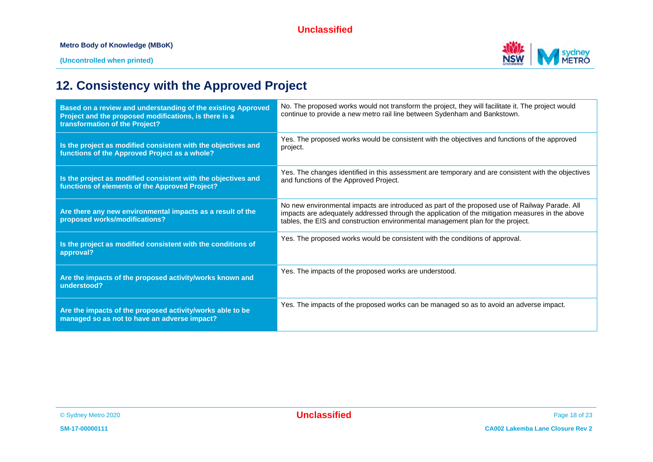#### **Metro Body of Knowledge (MBoK)**



# **12. Consistency with the Approved Project**

| Based on a review and understanding of the existing Approved<br>Project and the proposed modifications, is there is a<br>transformation of the Project? | No. The proposed works would not transform the project, they will facilitate it. The project would<br>continue to provide a new metro rail line between Sydenham and Bankstown.                                                                                                       |
|---------------------------------------------------------------------------------------------------------------------------------------------------------|---------------------------------------------------------------------------------------------------------------------------------------------------------------------------------------------------------------------------------------------------------------------------------------|
| Is the project as modified consistent with the objectives and<br>functions of the Approved Project as a whole?                                          | Yes. The proposed works would be consistent with the objectives and functions of the approved<br>project.                                                                                                                                                                             |
| Is the project as modified consistent with the objectives and<br>functions of elements of the Approved Project?                                         | Yes. The changes identified in this assessment are temporary and are consistent with the objectives<br>and functions of the Approved Project.                                                                                                                                         |
| Are there any new environmental impacts as a result of the<br>proposed works/modifications?                                                             | No new environmental impacts are introduced as part of the proposed use of Railway Parade. All<br>impacts are adequately addressed through the application of the mitigation measures in the above<br>tables, the EIS and construction environmental management plan for the project. |
| Is the project as modified consistent with the conditions of<br>approval?                                                                               | Yes. The proposed works would be consistent with the conditions of approval.                                                                                                                                                                                                          |
| Are the impacts of the proposed activity/works known and<br>understood?                                                                                 | Yes. The impacts of the proposed works are understood.                                                                                                                                                                                                                                |
| Are the impacts of the proposed activity/works able to be<br>managed so as not to have an adverse impact?                                               | Yes. The impacts of the proposed works can be managed so as to avoid an adverse impact.                                                                                                                                                                                               |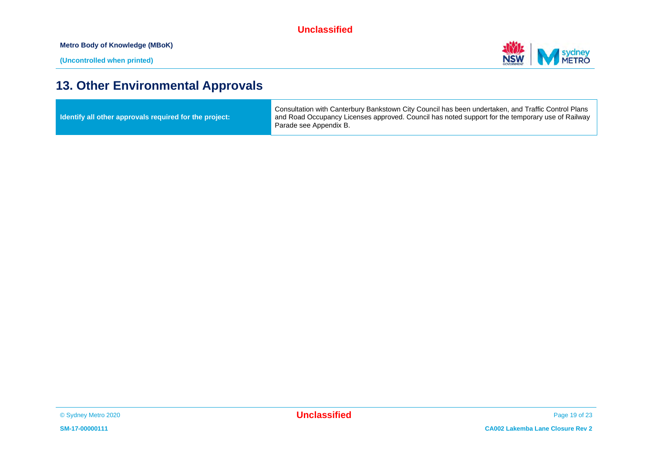**Metro Body of Knowledge (MBoK)**



# **13. Other Environmental Approvals**

| ldentify all other approvals required for the project: | Consultation with Canterbury Bankstown City Council has been undertaken, and Traffic Control Plans<br>and Road Occupancy Licenses approved. Council has noted support for the temporary use of Railway<br>Parade see Appendix B. |
|--------------------------------------------------------|----------------------------------------------------------------------------------------------------------------------------------------------------------------------------------------------------------------------------------|
|--------------------------------------------------------|----------------------------------------------------------------------------------------------------------------------------------------------------------------------------------------------------------------------------------|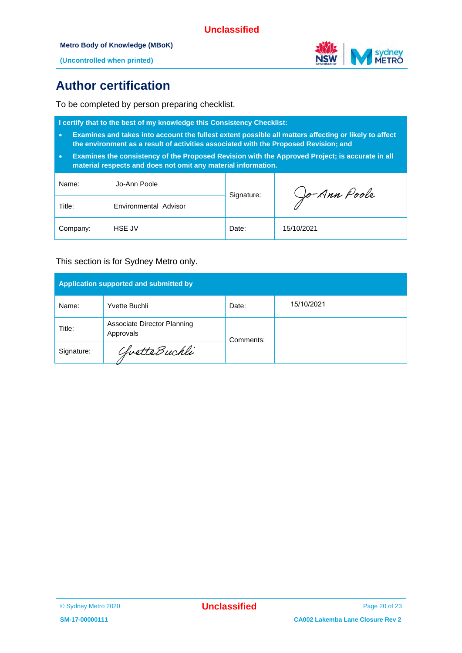

**(Uncontrolled when printed)**

# **Author certification**

To be completed by person preparing checklist.

**I certify that to the best of my knowledge this Consistency Checklist:**

- **Examines and takes into account the fullest extent possible all matters affecting or likely to affect the environment as a result of activities associated with the Proposed Revision; and**
- **Examines the consistency of the Proposed Revision with the Approved Project; is accurate in all material respects and does not omit any material information.**

| Name:    | Jo-Ann Poole          | Signature: | Jo-Ann Poole |
|----------|-----------------------|------------|--------------|
| Title:   | Environmental Advisor |            |              |
| Company: | <b>HSE JV</b>         | Date:      | 15/10/2021   |

#### This section is for Sydney Metro only.

| Application supported and submitted by |                                          |           |            |  |  |
|----------------------------------------|------------------------------------------|-----------|------------|--|--|
| Name:                                  | Yvette Buchli                            | Date:     | 15/10/2021 |  |  |
| Title:                                 | Associate Director Planning<br>Approvals | Comments: |            |  |  |
| Signature:                             | ChvetteBuchli                            |           |            |  |  |

<sup>©</sup> Sydney Metro 2020 **Unclassified** Page 20 of 23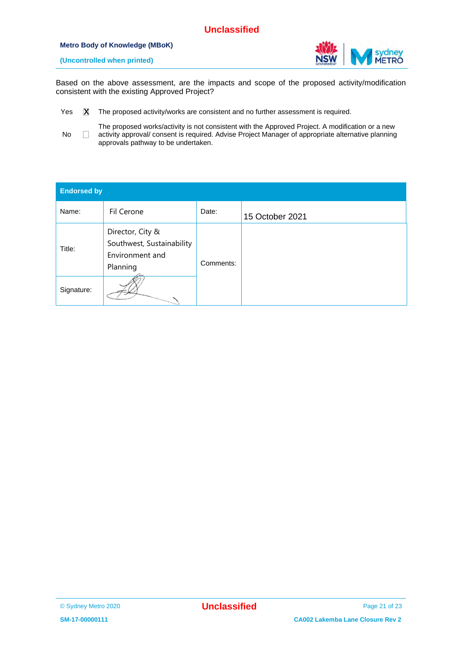#### **Metro Body of Knowledge (MBoK)**



**(Uncontrolled when printed)**

Based on the above assessment, are the impacts and scope of the proposed activity/modification consistent with the existing Approved Project?

- Yes  $X$  The proposed activity/works are consistent and no further assessment is required. x
- No  $\Box$ The proposed works/activity is not consistent with the Approved Project. A modification or a new activity approval/ consent is required. Advise Project Manager of appropriate alternative planning approvals pathway to be undertaken.

| <b>Endorsed by</b> |                                                                              |           |                 |  |  |
|--------------------|------------------------------------------------------------------------------|-----------|-----------------|--|--|
| Name:              | Fil Cerone                                                                   | Date:     | 15 October 2021 |  |  |
| Title:             | Director, City &<br>Southwest, Sustainability<br>Environment and<br>Planning | Comments: |                 |  |  |
| Signature:         |                                                                              |           |                 |  |  |

<sup>©</sup> Sydney Metro 2020 **Unclassified** Page 21 of 23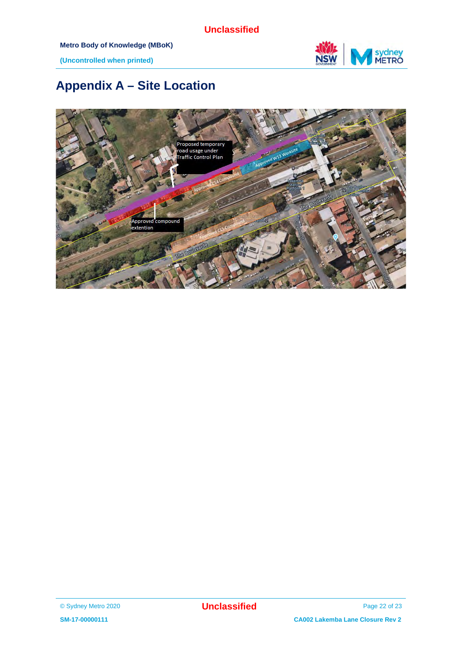

**(Uncontrolled when printed)**

# **Appendix A – Site Location**



<sup>©</sup> Sydney Metro 2020 **Unclassified** Page 22 of 23